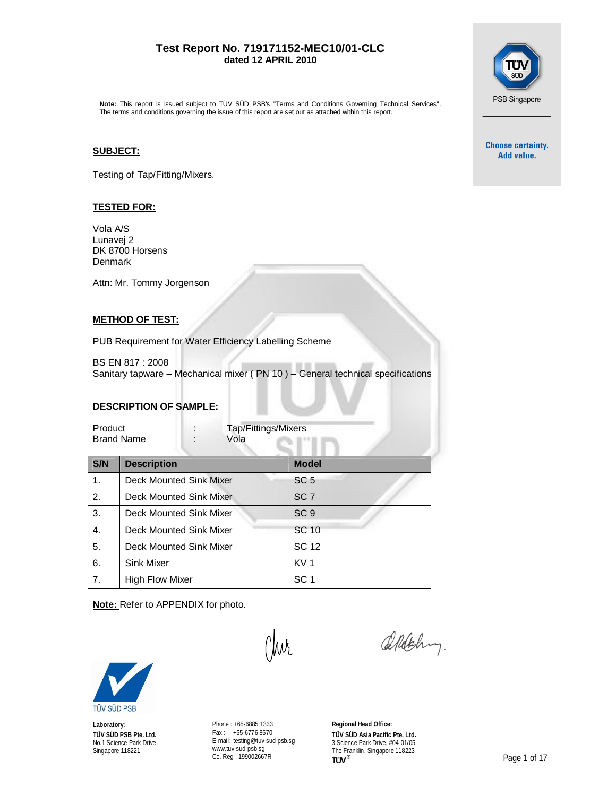#### **Test Report No. 719171152-MEC10/01-CLC dated 12 APRIL 2010**



**Note:** This report is issued subject to TÜV SÜD PSB's "Terms and Conditions Governing Technical Services". The terms and conditions governing the issue of this report are set out as attached within this report.

#### **SUBJECT:**

Testing of Tap/Fitting/Mixers.

#### **TESTED FOR:**

Vola A/S Lunavej 2 DK 8700 Horsens Denmark

Attn: Mr. Tommy Jorgenson

#### **METHOD OF TEST:**

PUB Requirement for Water Efficiency Labelling Scheme

BS EN 817 : 2008 Sanitary tapware – Mechanical mixer ( PN 10 ) – General technical specifications

#### **DESCRIPTION OF SAMPLE:**

| Product           | Tap/Fittings/Mixers |
|-------------------|---------------------|
| <b>Brand Name</b> | Vola                |

| S/N            | <b>Description</b>      | <b>Model</b>    |
|----------------|-------------------------|-----------------|
| 1 <sub>1</sub> | Deck Mounted Sink Mixer | SC <sub>5</sub> |
| 2.             | Deck Mounted Sink Mixer | SC <sub>7</sub> |
| 3.             | Deck Mounted Sink Mixer | SC <sub>9</sub> |
| 4.             | Deck Mounted Sink Mixer | SC 10           |
| 5.             | Deck Mounted Sink Mixer | <b>SC 12</b>    |
| 6.             | Sink Mixer              | KV <sub>1</sub> |
| 7.             | <b>High Flow Mixer</b>  | SC <sub>1</sub> |

W

**Note:** Refer to APPENDIX for photo.



**Laboratory: TÜV SÜD PSB Pte. Ltd.** No.1 Science Park Drive Singapore 118221

Phone : +65-6885 1333 Fax : +65-6776 8670 E-mail: [testing@tuv-sud-psb.sg](mailto:testing@tuv-sud-psb.sg) [www.tuv-sud-psb.sg](http://www.tuv-sud-psb.sg) Co. Reg : 199002667R

**Regional Head Office: TÜV SÜD Asia Pacific Pte. Ltd.** 3 Science Park Drive, #04-01/05 The Franklin, Singapore 118223<br>
TUV<sup>®</sup>

Aldehy.

**Choose certainty.** Add value.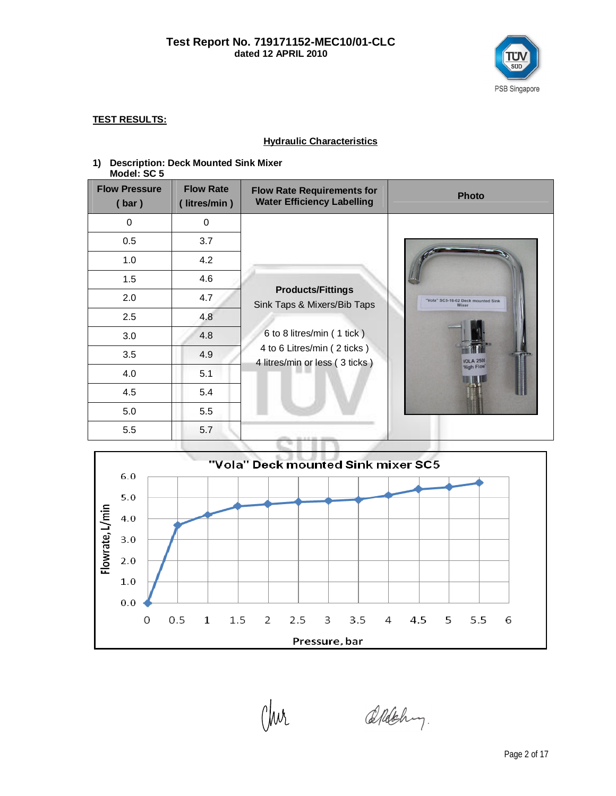

#### **TEST RESULTS:**

#### **Hydraulic Characteristics**

#### **1) Description: Deck Mounted Sink Mixer Model: SC 5**

| <b>Flow Pressure</b><br>(bar) | <b>Flow Rate</b><br>litres/min) | <b>Flow Rate Requirements for</b><br><b>Water Efficiency Labelling</b> | <b>Photo</b>                                |
|-------------------------------|---------------------------------|------------------------------------------------------------------------|---------------------------------------------|
| 0                             | 0                               |                                                                        |                                             |
| 0.5                           | 3.7                             |                                                                        |                                             |
| 1.0                           | 4.2                             |                                                                        |                                             |
| 1.5                           | 4.6                             |                                                                        |                                             |
| 2.0                           | 4.7                             | <b>Products/Fittings</b><br>Sink Taps & Mixers/Bib Taps                | "Vola" SC5-16-02 Deck mounted Sink<br>Mixer |
| 2.5                           | 4.8                             |                                                                        |                                             |
| 3.0                           | 4.8                             | 6 to 8 litres/min (1 tick)                                             |                                             |
| 3.5                           | 4.9                             | 4 to 6 Litres/min (2 ticks)<br>4 litres/min or less (3 ticks)          | <b>VOL A 2500</b>                           |
| 4.0                           | 5.1                             |                                                                        | "High Flow"                                 |
| 4.5                           | 5.4                             |                                                                        |                                             |
| 5.0                           | 5.5                             |                                                                        |                                             |
| 5.5                           | 5.7                             |                                                                        |                                             |



(Jur

Aldehy.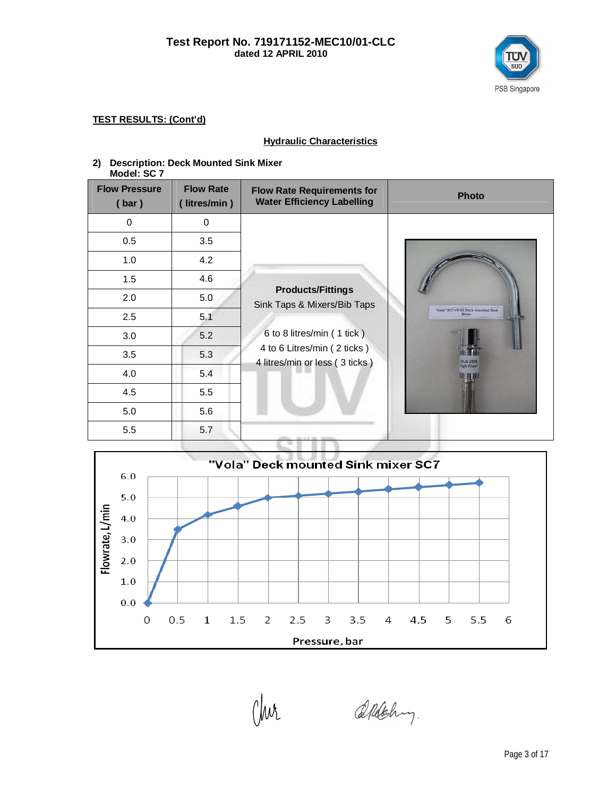

#### **Hydraulic Characteristics**

# **2) Description: Deck Mounted Sink Mixer**

| Model: SC 7 |  |
|-------------|--|
|             |  |

| <b>Flow Pressure</b><br>(bar) | <b>Flow Rate</b><br>(litres/min) | <b>Flow Rate Requirements for</b><br><b>Water Efficiency Labelling</b> | <b>Photo</b>                                |
|-------------------------------|----------------------------------|------------------------------------------------------------------------|---------------------------------------------|
| $\Omega$                      | 0                                |                                                                        |                                             |
| 0.5                           | 3.5                              |                                                                        |                                             |
| 1.0                           | 4.2                              |                                                                        |                                             |
| 1.5                           | 4.6                              |                                                                        |                                             |
| 2.0                           | 5.0                              | <b>Products/Fittings</b><br>Sink Taps & Mixers/Bib Taps                |                                             |
| 2.5                           | 5.1                              |                                                                        | "Vola" SC7-16-02 Deck mounted Sink<br>Mixer |
| 3.0                           | 5.2                              | 6 to 8 litres/min (1 tick)                                             |                                             |
| 3.5                           | 5.3                              | 4 to 6 Litres/min (2 ticks)<br>4 litres/min or less (3 ticks)          | <b>IOLA 2500</b>                            |
| 4.0                           | 5.4                              |                                                                        | <b>High Flow</b>                            |
| 4.5                           | 5.5                              |                                                                        |                                             |
| 5.0                           | 5.6                              |                                                                        |                                             |
| 5.5                           | 5.7                              | an a press.                                                            |                                             |



Aldehy.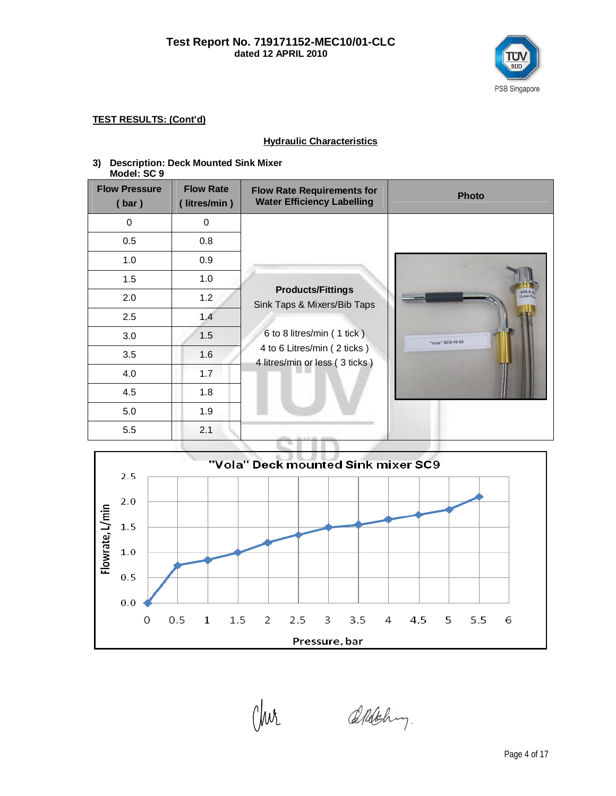

#### **Hydraulic Characteristics**

# **3) Description: Deck Mounted Sink Mixer**

|--|

| <b>Flow Pressure</b><br>(bar) | <b>Flow Rate</b><br>(litres/min) | <b>Flow Rate Requirements for</b><br><b>Water Efficiency Labelling</b> | <b>Photo</b>     |
|-------------------------------|----------------------------------|------------------------------------------------------------------------|------------------|
| $\Omega$                      | 0                                |                                                                        |                  |
| 0.5                           | 0.8                              |                                                                        |                  |
| 1.0                           | 0.9                              |                                                                        |                  |
| 1.5                           | 1.0                              |                                                                        |                  |
| 2.0                           | 1.2                              | <b>Products/Fittings</b><br>Sink Taps & Mixers/Bib Taps                | VOLA 5           |
| 2.5                           | 1.4                              |                                                                        |                  |
| 3.0                           | 1.5                              | 6 to 8 litres/min (1 tick)                                             | "Vola" SC9-16-02 |
| 3.5                           | 1.6                              | 4 to 6 Litres/min (2 ticks)<br>4 litres/min or less (3 ticks)          |                  |
| 4.0                           | 1.7                              |                                                                        |                  |
| 4.5                           | 1.8                              |                                                                        |                  |
| 5.0                           | 1.9                              |                                                                        |                  |
| 5.5                           | 2.1                              |                                                                        |                  |



Aldehy.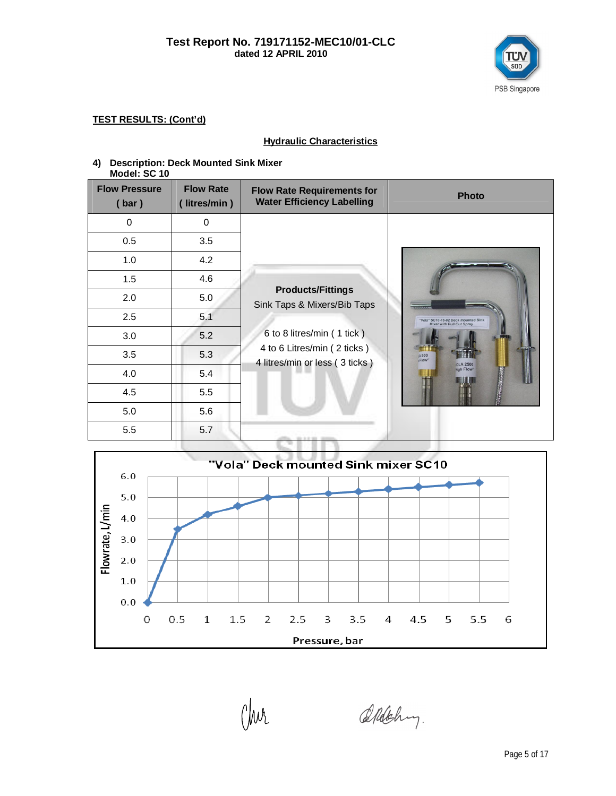

#### **Hydraulic Characteristics**

#### **4) Description: Deck Mounted Sink Mixer Model: SC 10**

| <b>Flow Pressure</b><br>(bar) | <b>Flow Rate</b><br>(litres/min) | <b>Flow Rate Requirements for</b><br><b>Water Efficiency Labelling</b> | <b>Photo</b>                                                     |
|-------------------------------|----------------------------------|------------------------------------------------------------------------|------------------------------------------------------------------|
| 0                             | 0                                |                                                                        |                                                                  |
| 0.5                           | 3.5                              |                                                                        |                                                                  |
| 1.0                           | 4.2                              |                                                                        |                                                                  |
| 1.5                           | 4.6                              |                                                                        |                                                                  |
| 2.0                           | 5.0                              | <b>Products/Fittings</b><br>Sink Taps & Mixers/Bib Taps                |                                                                  |
| 2.5                           | 5.1                              |                                                                        | "Vola" SC10-16-02 Deck mounted Sink<br>Mixer with Pull Out Spray |
| 3.0                           | 5.2                              | 6 to 8 litres/min (1 tick)                                             |                                                                  |
| 3.5                           | 5.3                              | 4 to 6 Litres/min (2 ticks)<br>4 litres/min or less (3 ticks)          | <b>A 500</b><br>rFlow"<br><b>OLA 2500</b>                        |
| 4.0                           | 5.4                              |                                                                        | High Flow"                                                       |
| 4.5                           | 5.5                              |                                                                        |                                                                  |
| 5.0                           | 5.6                              |                                                                        |                                                                  |
| 5.5                           | 5.7                              |                                                                        |                                                                  |



Aldehy.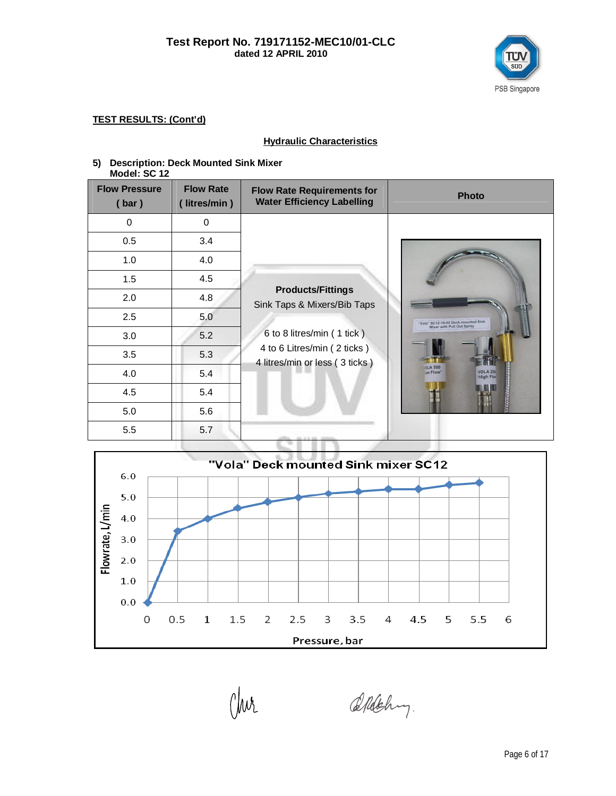

#### **Hydraulic Characteristics**

# **5) Description: Deck Mounted Sink Mixer**

| Model: SC 12                  |                                 |                                                                        |                                                                   |
|-------------------------------|---------------------------------|------------------------------------------------------------------------|-------------------------------------------------------------------|
| <b>Flow Pressure</b><br>(bar) | <b>Flow Rate</b><br>litres/min) | <b>Flow Rate Requirements for</b><br><b>Water Efficiency Labelling</b> | <b>Photo</b>                                                      |
| $\mathbf 0$                   | 0                               |                                                                        |                                                                   |
| 0.5                           | 3.4                             |                                                                        |                                                                   |
| 1.0                           | 4.0                             |                                                                        |                                                                   |
| 1.5                           | 4.5                             |                                                                        |                                                                   |
| 2.0                           | 4.8                             | <b>Products/Fittings</b><br>Sink Taps & Mixers/Bib Taps                |                                                                   |
| 2.5                           | 5.0                             |                                                                        | "Vola" SC12-16-02 Deck mounted Sink<br>Mixer with Pull Out Spray  |
| 3.0                           | 5.2                             | 6 to 8 litres/min (1 tick)                                             |                                                                   |
| 3.5                           | 5.3                             | 4 to 6 Litres/min (2 ticks)<br>4 litres/min or less (3 ticks)          |                                                                   |
| 4.0                           | 5.4                             |                                                                        | <b>OLA 500</b><br><b>VOLA 250</b><br>ow Flow"<br><b>High Flow</b> |
| 4.5                           | 5.4                             |                                                                        |                                                                   |
| 5.0                           | 5.6                             |                                                                        |                                                                   |
| 5.5                           | 5.7                             |                                                                        |                                                                   |



Aldehy.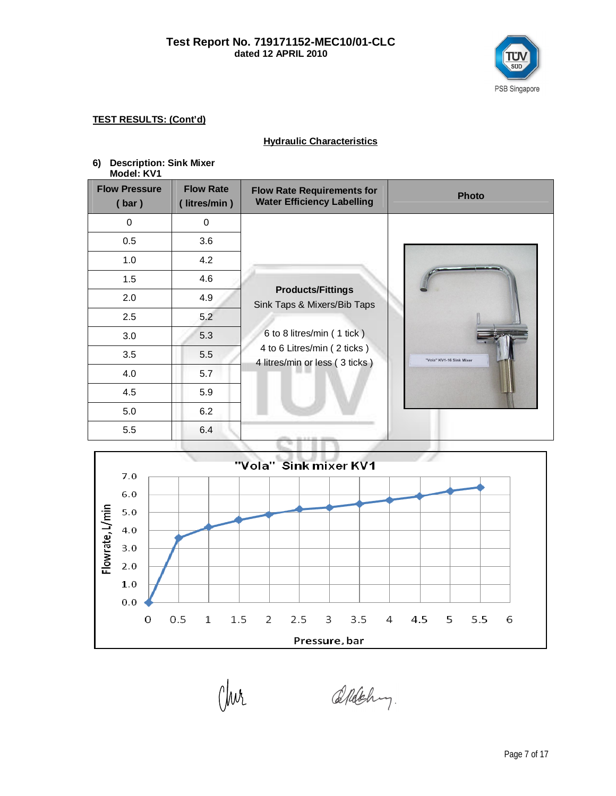

## **Hydraulic Characteristics**

| 6) Description: Sink Mixer |  |
|----------------------------|--|
| Model: KV1                 |  |

| <b>Flow Pressure</b><br>(bar) | <b>Flow Rate</b><br>(litres/min) | <b>Flow Rate Requirements for</b><br><b>Water Efficiency Labelling</b> | <b>Photo</b>             |
|-------------------------------|----------------------------------|------------------------------------------------------------------------|--------------------------|
| $\mathbf 0$                   | 0                                |                                                                        |                          |
| 0.5                           | 3.6                              |                                                                        |                          |
| 1.0                           | 4.2                              |                                                                        |                          |
| 1.5                           | 4.6                              |                                                                        |                          |
| 2.0                           | 4.9                              | <b>Products/Fittings</b><br>Sink Taps & Mixers/Bib Taps                |                          |
| 2.5                           | 5.2                              |                                                                        |                          |
| 3.0                           | 5.3                              | 6 to 8 litres/min (1 tick)                                             |                          |
| 3.5                           | 5.5                              | 4 to 6 Litres/min (2 ticks)<br>4 litres/min or less (3 ticks)          | "Vola" KV1-16 Sink Mixer |
| 4.0                           | 5.7                              |                                                                        |                          |
| 4.5                           | 5.9                              |                                                                        |                          |
| 5.0                           | 6.2                              |                                                                        |                          |
| 5.5                           | 6.4                              | the de off-terms.                                                      |                          |



Clur

Aldehy.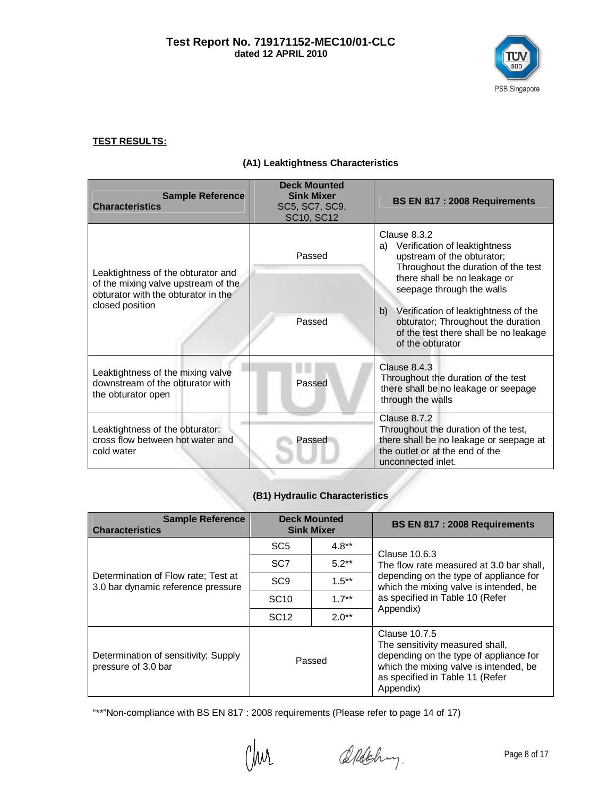

#### **TEST RESULTS:**

## **(A1) Leaktightness Characteristics**

| <b>Sample Reference</b><br><b>Characteristics</b>                                                                | <b>Deck Mounted</b><br><b>Sink Mixer</b><br>SC5, SC7, SC9,<br>SC10, SC12 | BS EN 817 : 2008 Requirements                                                                                                                                                      |
|------------------------------------------------------------------------------------------------------------------|--------------------------------------------------------------------------|------------------------------------------------------------------------------------------------------------------------------------------------------------------------------------|
| Leaktightness of the obturator and<br>of the mixing valve upstream of the<br>obturator with the obturator in the | Passed                                                                   | Clause 8.3.2<br>a) Verification of leaktightness<br>upstream of the obturator;<br>Throughout the duration of the test<br>there shall be no leakage or<br>seepage through the walls |
| closed position                                                                                                  | Passed                                                                   | Verification of leaktightness of the<br>b)<br>obturator; Throughout the duration<br>of the test there shall be no leakage<br>of the obturator                                      |
| Leaktightness of the mixing valve<br>downstream of the obturator with<br>the obturator open                      | Passed                                                                   | Clause $8.4.3$<br>Throughout the duration of the test<br>there shall be no leakage or seepage<br>through the walls                                                                 |
| Leaktightness of the obturator:<br>cross flow between hot water and<br>cold water                                | Passed                                                                   | Clause 8.7.2<br>Throughout the duration of the test,<br>there shall be no leakage or seepage at<br>the outlet or at the end of the<br>unconnected inlet.                           |

## **(B1) Hydraulic Characteristics**

| <b>Sample Reference</b><br><b>Characteristics</b>                         | <b>Deck Mounted</b><br><b>Sink Mixer</b> |          | BS EN 817 : 2008 Requirements                                                                                                                                                        |
|---------------------------------------------------------------------------|------------------------------------------|----------|--------------------------------------------------------------------------------------------------------------------------------------------------------------------------------------|
|                                                                           | SC <sub>5</sub>                          | $4.8**$  | Clause 10.6.3                                                                                                                                                                        |
|                                                                           | SC <sub>7</sub>                          | $5.2**$  | The flow rate measured at 3.0 bar shall,<br>depending on the type of appliance for<br>which the mixing valve is intended, be<br>as specified in Table 10 (Refer<br>Appendix)         |
| Determination of Flow rate: Test at<br>3.0 bar dynamic reference pressure | SC <sub>9</sub>                          | $1.5***$ |                                                                                                                                                                                      |
|                                                                           | <b>SC<sub>10</sub></b>                   | $1.7**$  |                                                                                                                                                                                      |
|                                                                           | SC <sub>12</sub>                         | $2.0**$  |                                                                                                                                                                                      |
| Determination of sensitivity; Supply<br>pressure of 3.0 bar               | Passed                                   |          | Clause 10.7.5<br>The sensitivity measured shall,<br>depending on the type of appliance for<br>which the mixing valve is intended, be<br>as specified in Table 11 (Refer<br>Appendix) |

"\*\*"Non-compliance with BS EN 817 : 2008 requirements (Please refer to page 14 of 17)

Chur

Aldehy.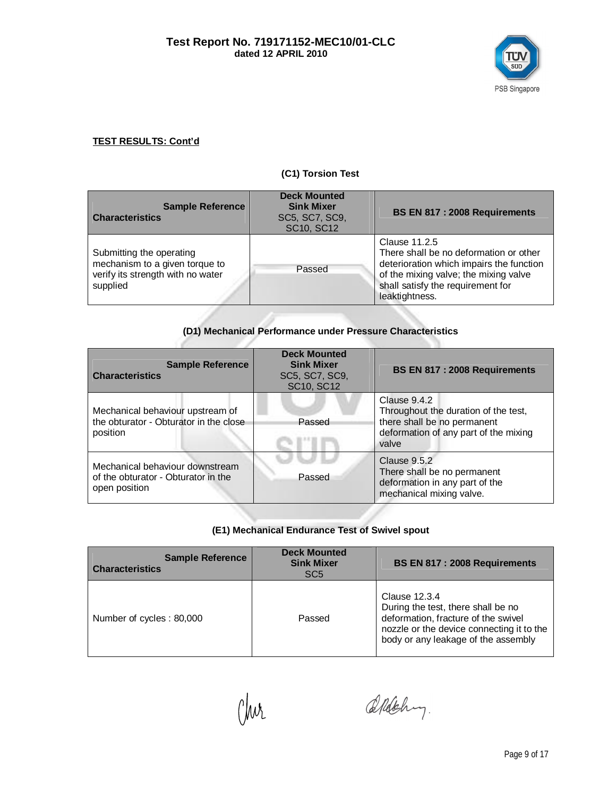

#### **(C1) Torsion Test**

| <b>Sample Reference</b><br><b>Characteristics</b>                                                           | <b>Deck Mounted</b><br><b>Sink Mixer</b><br>SC5, SC7, SC9,<br>SC10, SC12 | BS EN 817 : 2008 Requirements                                                                                                                                                                       |
|-------------------------------------------------------------------------------------------------------------|--------------------------------------------------------------------------|-----------------------------------------------------------------------------------------------------------------------------------------------------------------------------------------------------|
| Submitting the operating<br>mechanism to a given torque to<br>verify its strength with no water<br>supplied | Passed                                                                   | Clause 11.2.5<br>There shall be no deformation or other<br>deterioration which impairs the function<br>of the mixing valve; the mixing valve<br>shall satisfy the requirement for<br>leaktightness. |

# **(D1) Mechanical Performance under Pressure Characteristics**

| <b>Sample Reference</b><br><b>Characteristics</b>                                       | <b>Deck Mounted</b><br><b>Sink Mixer</b><br>SC5, SC7, SC9,<br>SC10, SC12 | BS EN 817 : 2008 Requirements                                                                                                         |
|-----------------------------------------------------------------------------------------|--------------------------------------------------------------------------|---------------------------------------------------------------------------------------------------------------------------------------|
| Mechanical behaviour upstream of<br>the obturator - Obturator in the close<br>position  | Passed                                                                   | Clause 9.4.2<br>Throughout the duration of the test,<br>there shall be no permanent<br>deformation of any part of the mixing<br>valve |
| Mechanical behaviour downstream<br>of the obturator - Obturator in the<br>open position | Passed                                                                   | Clause 9.5.2<br>There shall be no permanent<br>deformation in any part of the<br>mechanical mixing valve.                             |

#### **(E1) Mechanical Endurance Test of Swivel spout**

| <b>Sample Reference</b><br><b>Characteristics</b> | <b>Deck Mounted</b><br><b>Sink Mixer</b><br>SC <sub>5</sub> | BS EN 817: 2008 Requirements                                                                                                                                                   |
|---------------------------------------------------|-------------------------------------------------------------|--------------------------------------------------------------------------------------------------------------------------------------------------------------------------------|
| Number of cycles: 80,000                          | Passed                                                      | Clause 12.3.4<br>During the test, there shall be no<br>deformation, fracture of the swivel<br>nozzle or the device connecting it to the<br>body or any leakage of the assembly |

Chur

Aldehy.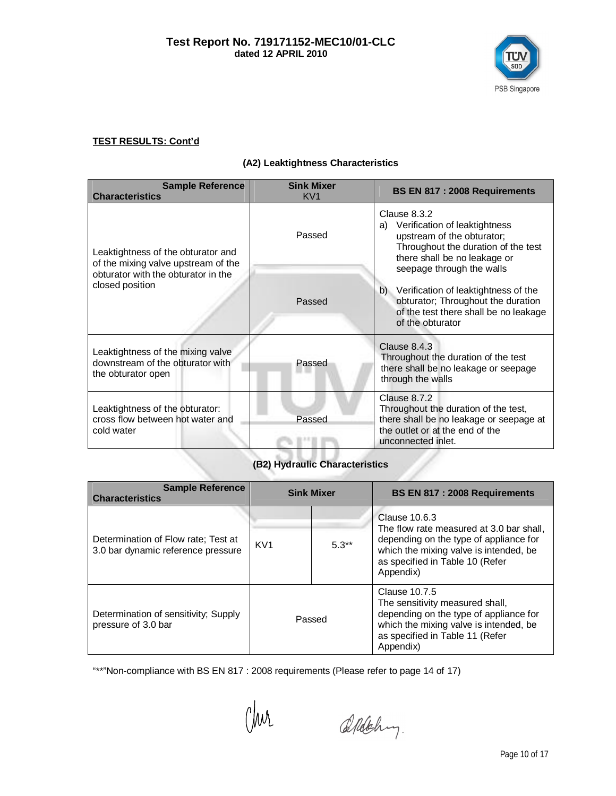

## **(A2) Leaktightness Characteristics**

| <b>Sample Reference</b><br><b>Characteristics</b>                                                                                   | <b>Sink Mixer</b><br>KV <sub>1</sub> | BS EN 817 : 2008 Requirements                                                                                                                                                         |
|-------------------------------------------------------------------------------------------------------------------------------------|--------------------------------------|---------------------------------------------------------------------------------------------------------------------------------------------------------------------------------------|
| Leaktightness of the obturator and<br>of the mixing valve upstream of the<br>obturator with the obturator in the<br>closed position | Passed                               | Clause 8.3.2<br>Verification of leaktightness<br>a)<br>upstream of the obturator;<br>Throughout the duration of the test<br>there shall be no leakage or<br>seepage through the walls |
|                                                                                                                                     | Passed                               | b) Verification of leaktightness of the<br>obturator; Throughout the duration<br>of the test there shall be no leakage<br>of the obturator                                            |
| Leaktightness of the mixing valve<br>downstream of the obturator with<br>the obturator open                                         | Passed                               | Clause 8.4.3<br>Throughout the duration of the test<br>there shall be no leakage or seepage<br>through the walls                                                                      |
| Leaktightness of the obturator:<br>cross flow between hot water and<br>cold water                                                   | Passed                               | Clause 8.7.2<br>Throughout the duration of the test,<br>there shall be no leakage or seepage at<br>the outlet or at the end of the<br>unconnected inlet.                              |

# **(B2) Hydraulic Characteristics**

| <b>Sample Reference</b><br><b>Characteristics</b>                         | <b>Sink Mixer</b> |         | BS EN 817: 2008 Requirements                                                                                                                                                                  |
|---------------------------------------------------------------------------|-------------------|---------|-----------------------------------------------------------------------------------------------------------------------------------------------------------------------------------------------|
| Determination of Flow rate: Test at<br>3.0 bar dynamic reference pressure | KV <sub>1</sub>   | $5.3**$ | Clause 10.6.3<br>The flow rate measured at 3.0 bar shall,<br>depending on the type of appliance for<br>which the mixing valve is intended, be<br>as specified in Table 10 (Refer<br>Appendix) |
| Determination of sensitivity; Supply<br>pressure of 3.0 bar               | Passed            |         | Clause 10.7.5<br>The sensitivity measured shall,<br>depending on the type of appliance for<br>which the mixing valve is intended, be<br>as specified in Table 11 (Refer<br>Appendix)          |

"\*\*"Non-compliance with BS EN 817 : 2008 requirements (Please refer to page 14 of 17)

Clur

Aldehy.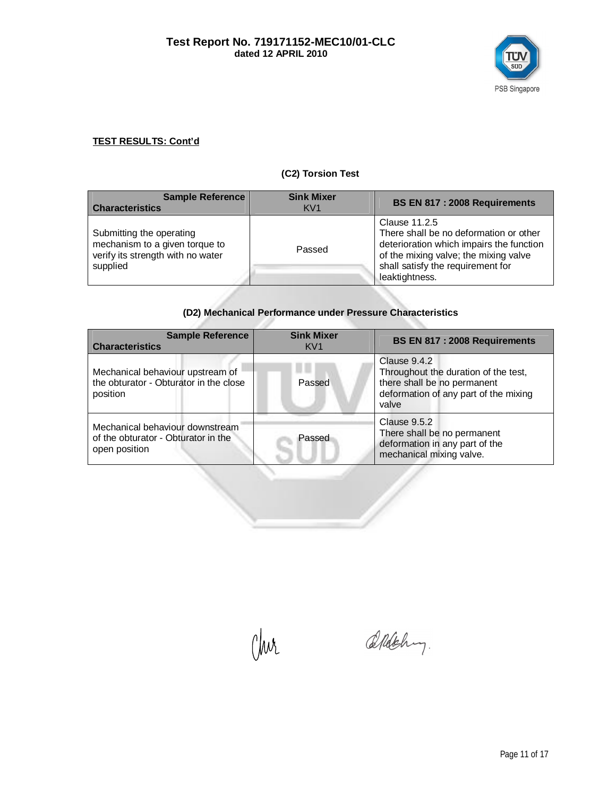

## **(C2) Torsion Test**

| <b>Sample Reference</b><br><b>Characteristics</b>                                                           | <b>Sink Mixer</b><br>KV <sub>1</sub> | BS EN 817 : 2008 Requirements                                                                                                                                                                       |
|-------------------------------------------------------------------------------------------------------------|--------------------------------------|-----------------------------------------------------------------------------------------------------------------------------------------------------------------------------------------------------|
| Submitting the operating<br>mechanism to a given torque to<br>verify its strength with no water<br>supplied | Passed                               | Clause 11.2.5<br>There shall be no deformation or other<br>deterioration which impairs the function<br>of the mixing valve; the mixing valve<br>shall satisfy the requirement for<br>leaktightness. |

## **(D2) Mechanical Performance under Pressure Characteristics**

| <b>Sample Reference</b><br><b>Characteristics</b>                                       | <b>Sink Mixer</b><br>KV <sub>1</sub> | BS EN 817 : 2008 Requirements                                                                                                         |
|-----------------------------------------------------------------------------------------|--------------------------------------|---------------------------------------------------------------------------------------------------------------------------------------|
| Mechanical behaviour upstream of<br>the obturator - Obturator in the close<br>position  | Passed                               | Clause 9.4.2<br>Throughout the duration of the test,<br>there shall be no permanent<br>deformation of any part of the mixing<br>valve |
| Mechanical behaviour downstream<br>of the obturator - Obturator in the<br>open position | Passed                               | Clause 9.5.2<br>There shall be no permanent<br>deformation in any part of the<br>mechanical mixing valve.                             |

Clur

Aldehy.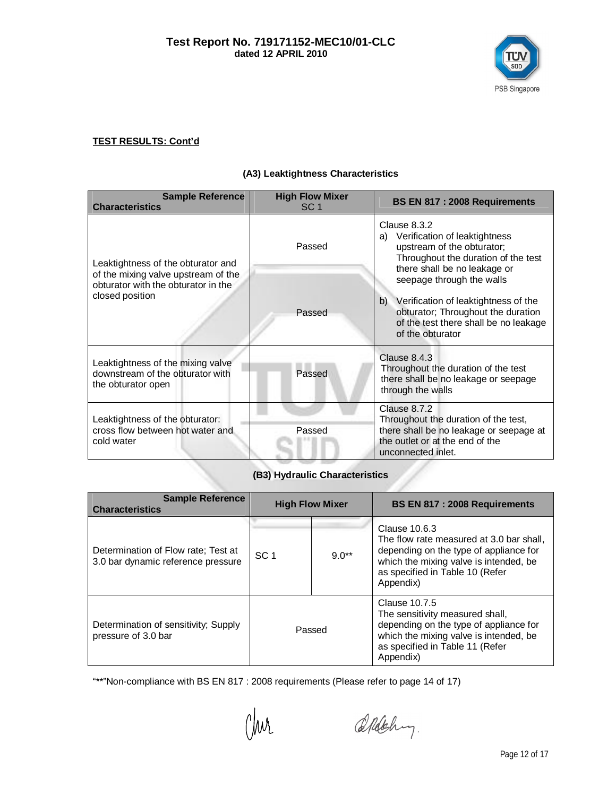

#### **(A3) Leaktightness Characteristics**

| <b>Sample Reference</b><br><b>Characteristics</b>                                                                | <b>High Flow Mixer</b><br>SC <sub>1</sub> | BS EN 817 : 2008 Requirements                                                                                                                                                      |
|------------------------------------------------------------------------------------------------------------------|-------------------------------------------|------------------------------------------------------------------------------------------------------------------------------------------------------------------------------------|
| Leaktightness of the obturator and<br>of the mixing valve upstream of the<br>obturator with the obturator in the | Passed                                    | Clause 8.3.2<br>a) Verification of leaktightness<br>upstream of the obturator;<br>Throughout the duration of the test<br>there shall be no leakage or<br>seepage through the walls |
| closed position                                                                                                  | Passed                                    | b) Verification of leaktightness of the<br>obturator; Throughout the duration<br>of the test there shall be no leakage<br>of the obturator                                         |
| Leaktightness of the mixing valve<br>downstream of the obturator with<br>the obturator open                      | Passed                                    | Clause 8.4.3<br>Throughout the duration of the test<br>there shall be no leakage or seepage<br>through the walls                                                                   |
| Leaktightness of the obturator:<br>cross flow between hot water and<br>cold water                                | Passed                                    | Clause 8.7.2<br>Throughout the duration of the test,<br>there shall be no leakage or seepage at<br>the outlet or at the end of the<br>unconnected inlet.                           |

# **(B3) Hydraulic Characteristics**

| <b>Sample Reference</b><br><b>Characteristics</b>                         | <b>High Flow Mixer</b> |         | BS EN 817: 2008 Requirements                                                                                                                                                                  |
|---------------------------------------------------------------------------|------------------------|---------|-----------------------------------------------------------------------------------------------------------------------------------------------------------------------------------------------|
| Determination of Flow rate: Test at<br>3.0 bar dynamic reference pressure | SC <sub>1</sub>        | $9.0**$ | Clause 10.6.3<br>The flow rate measured at 3.0 bar shall,<br>depending on the type of appliance for<br>which the mixing valve is intended, be<br>as specified in Table 10 (Refer<br>Appendix) |
| Determination of sensitivity; Supply<br>pressure of 3.0 bar               | Passed                 |         | Clause 10.7.5<br>The sensitivity measured shall,<br>depending on the type of appliance for<br>which the mixing valve is intended, be<br>as specified in Table 11 (Refer<br>Appendix)          |

"\*\*"Non-compliance with BS EN 817 : 2008 requirements (Please refer to page 14 of 17)

Chur

Aldehy.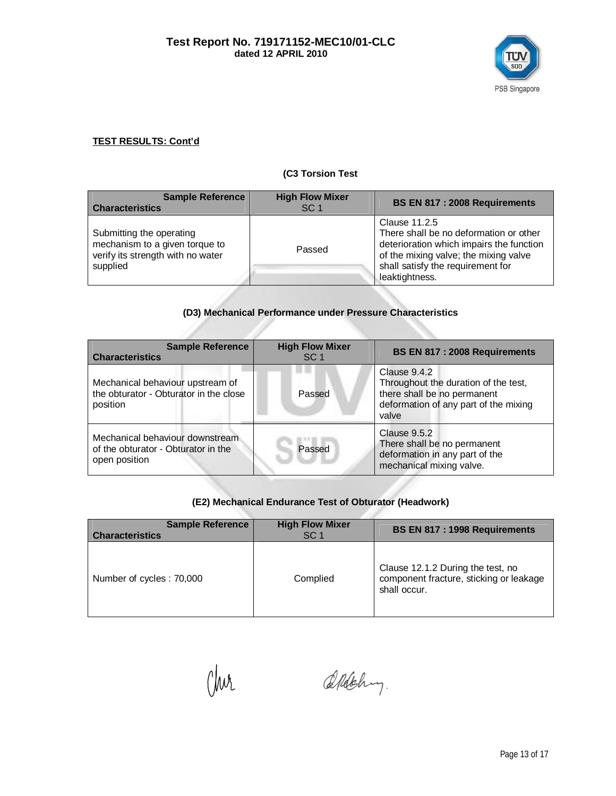

#### **(C3 Torsion Test**

| <b>Sample Reference</b><br><b>Characteristics</b>                                                           | <b>High Flow Mixer</b><br>SC <sub>1</sub> | BS EN 817 : 2008 Requirements                                                                                                                                                                       |
|-------------------------------------------------------------------------------------------------------------|-------------------------------------------|-----------------------------------------------------------------------------------------------------------------------------------------------------------------------------------------------------|
| Submitting the operating<br>mechanism to a given torque to<br>verify its strength with no water<br>supplied | Passed                                    | Clause 11.2.5<br>There shall be no deformation or other<br>deterioration which impairs the function<br>of the mixing valve; the mixing valve<br>shall satisfy the requirement for<br>leaktightness. |

# **(D3) Mechanical Performance under Pressure Characteristics**

| <b>Sample Reference</b><br><b>Characteristics</b>                                       | <b>High Flow Mixer</b><br>SC <sub>1</sub> | BS EN 817 : 2008 Requirements                                                                                                         |  |
|-----------------------------------------------------------------------------------------|-------------------------------------------|---------------------------------------------------------------------------------------------------------------------------------------|--|
| Mechanical behaviour upstream of<br>the obturator - Obturator in the close<br>position  | Passed                                    | Clause 9.4.2<br>Throughout the duration of the test,<br>there shall be no permanent<br>deformation of any part of the mixing<br>valve |  |
| Mechanical behaviour downstream<br>of the obturator - Obturator in the<br>open position | Passed                                    | Clause 9.5.2<br>There shall be no permanent<br>deformation in any part of the<br>mechanical mixing valve.                             |  |

## **(E2) Mechanical Endurance Test of Obturator (Headwork)**

| <b>Sample Reference</b><br><b>Characteristics</b> | <b>High Flow Mixer</b><br>SC <sub>1</sub> | BS EN 817 : 1998 Requirements                                                                |
|---------------------------------------------------|-------------------------------------------|----------------------------------------------------------------------------------------------|
| Number of cycles: 70,000                          | Complied                                  | Clause 12.1.2 During the test, no<br>component fracture, sticking or leakage<br>shall occur. |

Chur

Aldehy.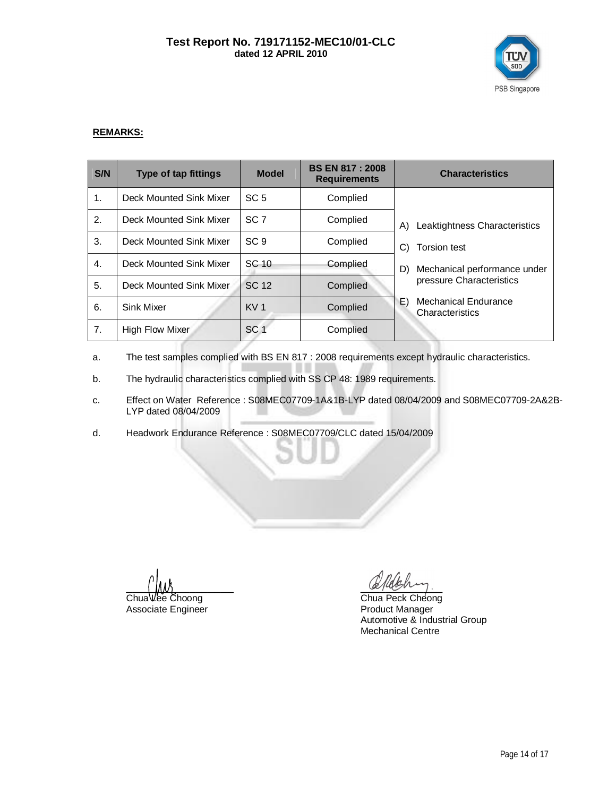#### **Test Report No. 719171152-MEC10/01-CLC dated 12 APRIL 2010**



#### **REMARKS:**

| S/N | <b>Type of tap fittings</b> | <b>Model</b>    | <b>BS EN 817: 2008</b><br><b>Requirements</b> | <b>Characteristics</b>                               |
|-----|-----------------------------|-----------------|-----------------------------------------------|------------------------------------------------------|
| 1.  | Deck Mounted Sink Mixer     | SC <sub>5</sub> | Complied                                      |                                                      |
| 2.  | Deck Mounted Sink Mixer     | SC <sub>7</sub> | Complied                                      | Leaktightness Characteristics<br>A)                  |
| 3.  | Deck Mounted Sink Mixer     | SC <sub>9</sub> | Complied                                      | <b>Torsion test</b><br>C)                            |
| 4.  | Deck Mounted Sink Mixer     | SC 10           | Complied                                      | Mechanical performance under<br>D)                   |
| 5.  | Deck Mounted Sink Mixer     | <b>SC 12</b>    | Complied                                      | pressure Characteristics                             |
| 6.  | <b>Sink Mixer</b>           | KV <sub>1</sub> | Complied                                      | E)<br><b>Mechanical Endurance</b><br>Characteristics |
| 7.  | High Flow Mixer             | SC <sub>1</sub> | Complied                                      |                                                      |

a. The test samples complied with BS EN 817 : 2008 requirements except hydraulic characteristics.

- b. The hydraulic characteristics complied with SS CP 48: 1989 requirements.
- c. Effect on Water Reference : S08MEC07709-1A&1B-LYP dated 08/04/2009 and S08MEC07709-2A&2B-LYP dated 08/04/2009
- d. Headwork Endurance Reference : S08MEC07709/CLC dated 15/04/2009

 $\Box$ 

Associate Engineer

Chua Lee Choong Chua Peck Cheong<br>Associate Engineer Channel Chua Product Manager Automotive & Industrial Group Mechanical Centre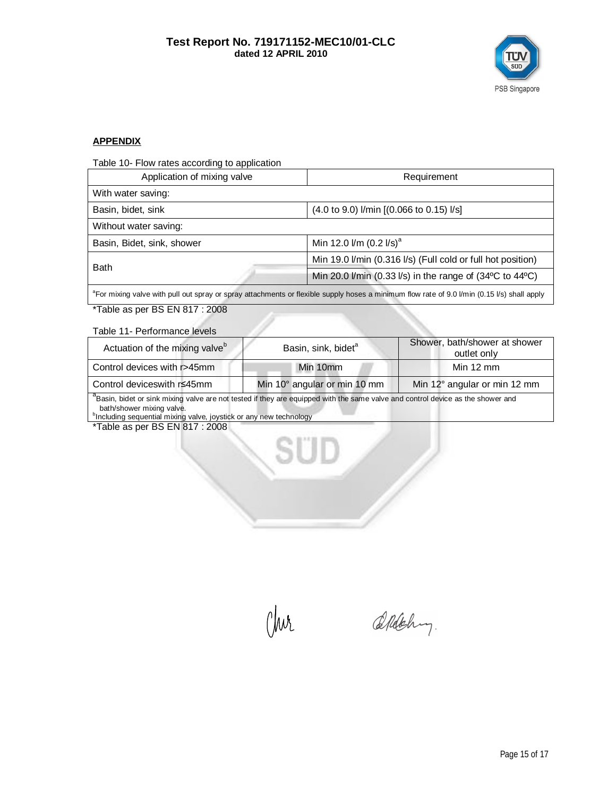

#### **APPENDIX**

Table 10- Flow rates according to application

| Application of mixing valve | Requirement                                                                  |  |  |
|-----------------------------|------------------------------------------------------------------------------|--|--|
| With water saving:          |                                                                              |  |  |
| Basin, bidet, sink          | (4.0 to 9.0) I/min [(0.066 to 0.15) I/s]                                     |  |  |
| Without water saving:       |                                                                              |  |  |
| Basin, Bidet, sink, shower  | Min 12.0 $\text{Im}$ (0.2 $\text{I/s}$ ) <sup>a</sup>                        |  |  |
| <b>Bath</b>                 | Min 19.0 I/min (0.316 I/s) (Full cold or full hot position)                  |  |  |
|                             | Min 20.0 l/min (0.33 l/s) in the range of $(34^{\circ}C)$ to $44^{\circ}C$ ) |  |  |
|                             |                                                                              |  |  |

<sup>a</sup>For mixing valve with pull out spray or spray attachments or flexible supply hoses a minimum flow rate of 9.0 l/min (0.15 l/s) shall apply

\*Table as per BS EN 817 : 2008

Table 11- Performance levels

| Actuation of the mixing valve <sup>b</sup>                                                                                                  | Basin, sink, bidet <sup>a</sup> | Shower, bath/shower at shower<br>outlet only |  |  |  |
|---------------------------------------------------------------------------------------------------------------------------------------------|---------------------------------|----------------------------------------------|--|--|--|
| Control devices with r>45mm                                                                                                                 | Min 10mm                        | Min $12 \text{ mm}$                          |  |  |  |
| Control deviceswith r≤45mm                                                                                                                  | Min 10° angular or min 10 mm    | Min 12° angular or min 12 mm                 |  |  |  |
| <sup>a</sup> Basin, bidet or sink mixing valve are not tested if they are equipped with the same valve and control device as the shower and |                                 |                                              |  |  |  |

bath/shower mixing valve. b Including sequential mixing valve, joystick or any new technology

\*Table as per BS EN 817 : 2008

°/wr

Aldehy.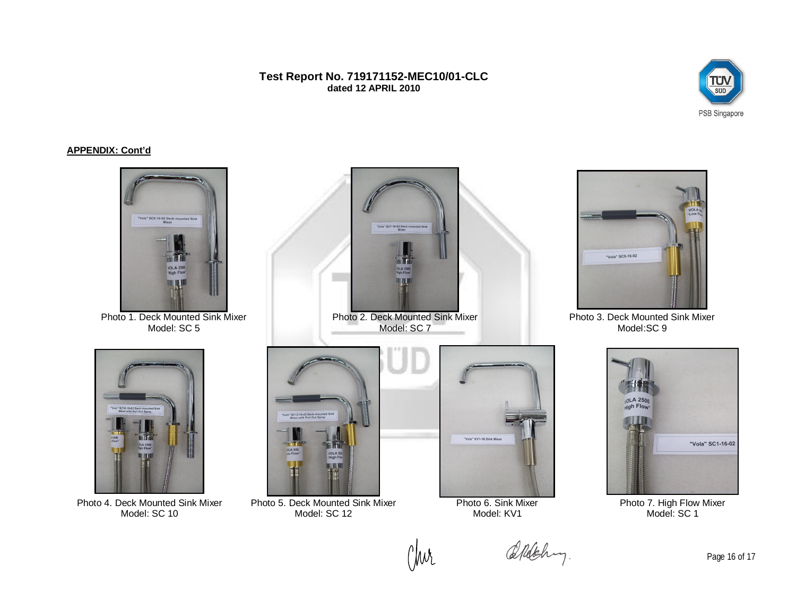**Test Report No. 719171152-MEC10/01-CLC dated 12 APRIL 2010**



#### **APPENDIX: Cont'd**



(Wr

Photo 4. Deck Mounted Sink Mixer Model: SC 10

Photo 5. Deck Mounted Sink Mixer Model: SC 12

Model: KV1

Aldehy.

Photo 6. Sink Mixer

Page 16 of 17

Photo 7. High Flow Mixer Model: SC<sub>1</sub>